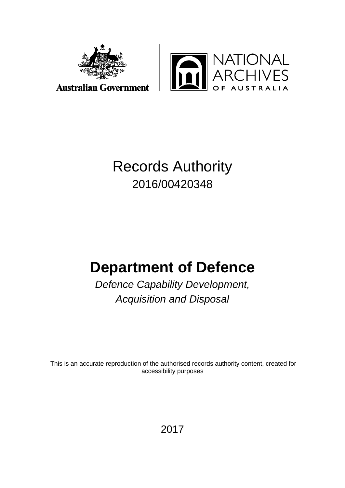



## Records Authority 2016/00420348

# **Department of Defence**

*Defence Capability Development, Acquisition and Disposal*

This is an accurate reproduction of the authorised records authority content, created for accessibility purposes

2017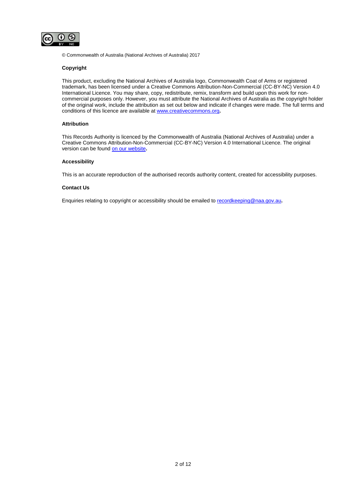

© Commonwealth of Australia (National Archives of Australia) 2017

#### **Copyright**

This product, excluding the National Archives of Australia logo, Commonwealth Coat of Arms or registered trademark, has been licensed under a Creative Commons Attribution-Non-Commercial (CC-BY-NC) Version 4.0 International Licence. You may share, copy, redistribute, remix, transform and build upon this work for noncommercial purposes only. However, you must attribute the National Archives of Australia as the copyright holder of the original work, include the attribution as set out below and indicate if changes were made. The full terms and conditions of this licence are available a[t www.creativecommons.org](http://www.creativecommons.org/)**.**

#### **Attribution**

This Records Authority is licenced by the Commonwealth of Australia (National Archives of Australia) under a Creative Commons Attribution-Non-Commercial (CC-BY-NC) Version 4.0 International Licence. The original version can be found [on our website](http://www.naa.gov.au/)**.**

#### **Accessibility**

This is an accurate reproduction of the authorised records authority content, created for accessibility purposes.

#### **Contact Us**

Enquiries relating to copyright or accessibility should be emailed t[o recordkeeping@naa.gov.au](mailto:recordkeeping@naa.gov.au)**.**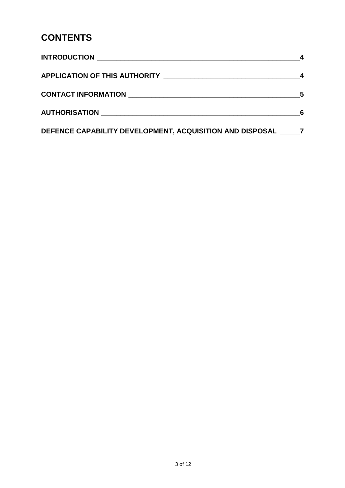## **CONTENTS**

| DEFENCE CAPABILITY DEVELOPMENT, ACQUISITION AND DISPOSAL 7 |  |
|------------------------------------------------------------|--|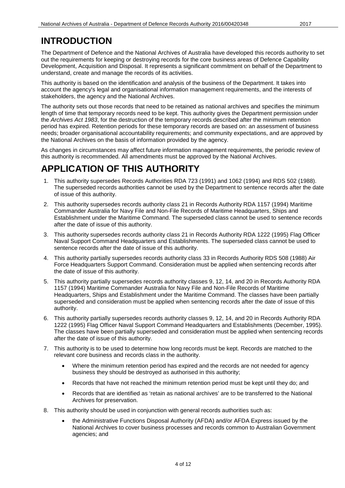### <span id="page-3-0"></span>**INTRODUCTION**

The Department of Defence and the National Archives of Australia have developed this records authority to set out the requirements for keeping or destroying records for the core business areas of Defence Capability Development, Acquisition and Disposal. It represents a significant commitment on behalf of the Department to understand, create and manage the records of its activities.

This authority is based on the identification and analysis of the business of the Department. It takes into account the agency's legal and organisational information management requirements, and the interests of stakeholders, the agency and the National Archives.

The authority sets out those records that need to be retained as national archives and specifies the minimum length of time that temporary records need to be kept. This authority gives the Department permission under the *Archives Act 1983*, for the destruction of the temporary records described after the minimum retention period has expired. Retention periods for these temporary records are based on: an assessment of business needs; broader organisational accountability requirements; and community expectations, and are approved by the National Archives on the basis of information provided by the agency.

As changes in circumstances may affect future information management requirements, the periodic review of this authority is recommended. All amendments must be approved by the National Archives.

#### <span id="page-3-1"></span>**APPLICATION OF THIS AUTHORITY**

- 1. This authority supersedes Records Authorities RDA 723 (1991) and 1062 (1994) and RDS 502 (1988). The superseded records authorities cannot be used by the Department to sentence records after the date of issue of this authority.
- 2. This authority supersedes records authority class 21 in Records Authority RDA 1157 (1994) Maritime Commander Australia for Navy File and Non-File Records of Maritime Headquarters, Ships and Establishment under the Maritime Command. The superseded class cannot be used to sentence records after the date of issue of this authority.
- 3. This authority supersedes records authority class 21 in Records Authority RDA 1222 (1995) Flag Officer Naval Support Command Headquarters and Establishments. The superseded class cannot be used to sentence records after the date of issue of this authority.
- 4. This authority partially supersedes records authority class 33 in Records Authority RDS 508 (1988) Air Force Headquarters Support Command. Consideration must be applied when sentencing records after the date of issue of this authority.
- 5. This authority partially supersedes records authority classes 9, 12, 14, and 20 in Records Authority RDA 1157 (1994) Maritime Commander Australia for Navy File and Non-File Records of Maritime Headquarters, Ships and Establishment under the Maritime Command. The classes have been partially superseded and consideration must be applied when sentencing records after the date of issue of this authority.
- 6. This authority partially supersedes records authority classes 9, 12, 14, and 20 in Records Authority RDA 1222 (1995) Flag Officer Naval Support Command Headquarters and Establishments (December, 1995). The classes have been partially superseded and consideration must be applied when sentencing records after the date of issue of this authority.
- 7. This authority is to be used to determine how long records must be kept. Records are matched to the relevant core business and records class in the authority.
	- Where the minimum retention period has expired and the records are not needed for agency business they should be destroyed as authorised in this authority;
	- Records that have not reached the minimum retention period must be kept until they do; and
	- Records that are identified as 'retain as national archives' are to be transferred to the National Archives for preservation.
- 8. This authority should be used in conjunction with general records authorities such as:
	- the Administrative Functions Disposal Authority (AFDA) and/or AFDA Express issued by the National Archives to cover business processes and records common to Australian Government agencies; and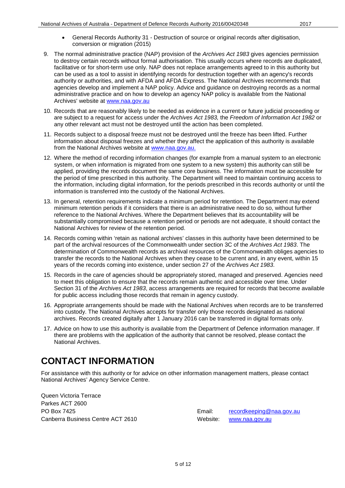- General Records Authority 31 Destruction of source or original records after digitisation, conversion or migration (2015)
- 9. The normal administrative practice (NAP) provision of the *Archives Act 1983* gives agencies permission to destroy certain records without formal authorisation. This usually occurs where records are duplicated, facilitative or for short-term use only. NAP does not replace arrangements agreed to in this authority but can be used as a tool to assist in identifying records for destruction together with an agency's records authority or authorities, and with AFDA and AFDA Express. The National Archives recommends that agencies develop and implement a NAP policy. Advice and guidance on destroying records as a normal administrative practice and on how to develop an agency NAP policy is available from the National Archives' website at [www.naa.gov.au](http://www.naa.gov.au/)
- 10. Records that are reasonably likely to be needed as evidence in a current or future judicial proceeding or are subject to a request for access under the *Archives Act 1983,* the *Freedom of Information Act 1982* or any other relevant act must not be destroyed until the action has been completed.
- 11. Records subject to a disposal freeze must not be destroyed until the freeze has been lifted. Further information about disposal freezes and whether they affect the application of this authority is available from the National Archives website at [www.naa.gov.au.](http://www.naa.gov.au/)
- 12. Where the method of recording information changes (for example from a manual system to an electronic system, or when information is migrated from one system to a new system) this authority can still be applied, providing the records document the same core business. The information must be accessible for the period of time prescribed in this authority. The Department will need to maintain continuing access to the information, including digital information, for the periods prescribed in this records authority or until the information is transferred into the custody of the National Archives.
- 13. In general, retention requirements indicate a minimum period for retention. The Department may extend minimum retention periods if it considers that there is an administrative need to do so, without further reference to the National Archives. Where the Department believes that its accountability will be substantially compromised because a retention period or periods are not adequate, it should contact the National Archives for review of the retention period.
- 14. Records coming within 'retain as national archives' classes in this authority have been determined to be part of the archival resources of the Commonwealth under section 3C of the *Archives Act 1983*. The determination of Commonwealth records as archival resources of the Commonwealth obliges agencies to transfer the records to the National Archives when they cease to be current and, in any event, within 15 years of the records coming into existence, under section 27 of the *Archives Act 1983*.
- 15. Records in the care of agencies should be appropriately stored, managed and preserved. Agencies need to meet this obligation to ensure that the records remain authentic and accessible over time. Under Section 31 of the *Archives Act 1983*, access arrangements are required for records that become available for public access including those records that remain in agency custody.
- 16. Appropriate arrangements should be made with the National Archives when records are to be transferred into custody. The National Archives accepts for transfer only those records designated as national archives. Records created digitally after 1 January 2016 can be transferred in digital formats only.
- 17. Advice on how to use this authority is available from the Department of Defence information manager. If there are problems with the application of the authority that cannot be resolved, please contact the National Archives.

### <span id="page-4-0"></span>**CONTACT INFORMATION**

For assistance with this authority or for advice on other information management matters, please contact National Archives' Agency Service Centre.

Queen Victoria Terrace Parkes ACT 2600 PO Box 7425 **Email:** [recordkeeping@naa.gov.au](mailto:recordkeeping@naa.gov.au) Canberra Business Centre ACT 2610 Website: [www.naa.gov.au](http://www.naa.gov.au/)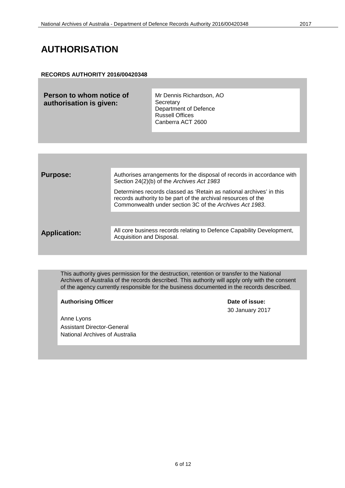#### <span id="page-5-0"></span>**AUTHORISATION**

#### **RECORDS AUTHORITY 2016/00420348**

| Person to whom notice of<br>authorisation is given: | Mr Dennis Richardson, AO<br>Secretary<br>Department of Defence<br><b>Russell Offices</b><br>Canberra ACT 2600 |
|-----------------------------------------------------|---------------------------------------------------------------------------------------------------------------|
|                                                     |                                                                                                               |

| <b>Purpose:</b>     | Authorises arrangements for the disposal of records in accordance with<br>Section 24(2)(b) of the Archives Act 1983                                                                             |
|---------------------|-------------------------------------------------------------------------------------------------------------------------------------------------------------------------------------------------|
|                     | Determines records classed as 'Retain as national archives' in this<br>records authority to be part of the archival resources of the<br>Commonwealth under section 3C of the Archives Act 1983. |
|                     |                                                                                                                                                                                                 |
| <b>Application:</b> | All core business records relating to Defence Capability Development,<br>Acquisition and Disposal.                                                                                              |
|                     |                                                                                                                                                                                                 |

This authority gives permission for the destruction, retention or transfer to the National Archives of Australia of the records described. This authority will apply only with the consent of the agency currently responsible for the business documented in the records described.

Authorising Officer **Contract Contract Contract Contract Contract Contract Contract Contract Contract Contract Contract Contract Contract Contract Contract Contract Contract Contract Contract Contract Contract Contract Con** 

Anne Lyons Assistant Director-General National Archives of Australia 30 January 2017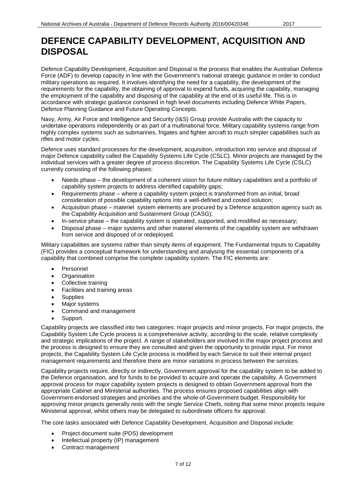<span id="page-6-0"></span>Defence Capability Development, Acquisition and Disposal is the process that enables the Australian Defence Force (ADF) to develop capacity in line with the Government's national strategic guidance in order to conduct military operations as required. It involves identifying the need for a capability, the development of the requirements for the capability, the obtaining of approval to expend funds, acquiring the capability, managing the employment of the capability and disposing of the capability at the end of its useful life. This is in accordance with strategic guidance contained in high level documents including Defence White Papers, Defence Planning Guidance and Future Operating Concepts.

Navy, Army, Air Force and Intelligence and Security (I&S) Group provide Australia with the capacity to undertake operations independently or as part of a multinational force. Military capability systems range from highly complex systems such as submarines, frigates and fighter aircraft to much simpler capabilities such as rifles and motor cycles.

Defence uses standard processes for the development, acquisition, introduction into service and disposal of major Defence capability called the Capability Systems Life Cycle (CSLC). Minor projects are managed by the individual services with a greater degree of process discretion. The Capability Systems Life Cycle (CSLC) currently consisting of the following phases:

- Needs phase the development of a coherent vision for future military capabilities and a portfolio of capability system projects to address identified capability gaps;
- Requirements phase where a capability system project is transformed from an initial, broad consideration of possible capability options into a well-defined and costed solution;
- Acquisition phase materiel system elements are procured by a Defence acquisition agency such as the Capability Acquisition and Sustainment Group (CASG);
- In-service phase the capability system is operated, supported, and modified as necessary;
- Disposal phase major systems and other materiel elements of the capability system are withdrawn from service and disposed of or redeployed.

Military capabilities are systems rather than simply items of equipment. The Fundamental Inputs to Capability (FIC) provides a conceptual framework for understanding and analysing the essential components of a capability that combined comprise the complete capability system. The FIC elements are:

- **Personnel**
- Organisation
- Collective training
- Facilities and training areas
- Supplies
- Major systems
- Command and management
- Support.

Capability projects are classified into two categories: major projects and minor projects. For major projects, the Capability System Life Cycle process is a comprehensive activity, according to the scale, relative complexity and strategic implications of the project. A range of stakeholders are involved in the major project process and the process is designed to ensure they are consulted and given the opportunity to provide input. For minor projects, the Capability System Life Cycle process is modified by each Service to suit their internal project management requirements and therefore there are minor variations in process between the services.

Capability projects require, directly or indirectly, Government approval for the capability system to be added to the Defence organisation, and for funds to be provided to acquire and operate the capability. A Government approval process for major capability system projects is designed to obtain Government approval from the appropriate Cabinet and Ministerial authorities. The process ensures proposed capabilities align with Government-endorsed strategies and priorities and the whole-of-Government budget. Responsibility for approving minor projects generally rests with the single Service Chiefs, noting that some minor projects require Ministerial approval, whilst others may be delegated to subordinate officers for approval.

The core tasks associated with Defence Capability Development, Acquisition and Disposal include:

- Project document suite (PDS) development
- Intellectual property (IP) management
- Contract management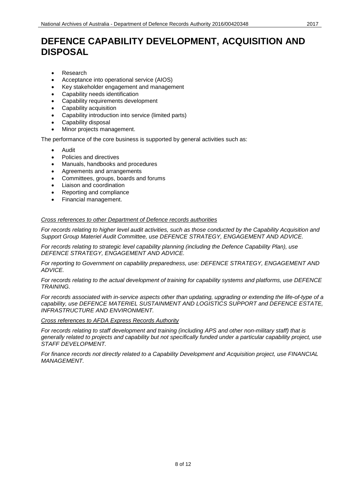- Research
- Acceptance into operational service (AIOS)
- Key stakeholder engagement and management
- Capability needs identification
- Capability requirements development
- Capability acquisition
- Capability introduction into service (limited parts)
- Capability disposal
- Minor projects management.

The performance of the core business is supported by general activities such as:

- Audit
- Policies and directives
- Manuals, handbooks and procedures
- Agreements and arrangements
- Committees, groups, boards and forums
- Liaison and coordination
- Reporting and compliance
- Financial management.

#### *Cross references to other Department of Defence records authorities*

*For records relating to higher level audit activities, such as those conducted by the Capability Acquisition and Support Group Materiel Audit Committee, use DEFENCE STRATEGY, ENGAGEMENT AND ADVICE.*

*For records relating to strategic level capability planning (including the Defence Capability Plan), use DEFENCE STRATEGY, ENGAGEMENT AND ADVICE.*

*For reporting to Government on capability preparedness, use: DEFENCE STRATEGY, ENGAGEMENT AND ADVICE.*

*For records relating to the actual development of training for capability systems and platforms, use DEFENCE TRAINING.*

*For records associated with in-service aspects other than updating, upgrading or extending the life-of-type of a capability, use DEFENCE MATERIEL SUSTAINMENT AND LOGISTICS SUPPORT and DEFENCE ESTATE, INFRASTRUCTURE AND ENVIRONMENT.*

*Cross references to AFDA Express Records Authority*

*For records relating to staff development and training (including APS and other non-military staff) that is generally related to projects and capability but not specifically funded under a particular capability project, use STAFF DEVELOPMENT.*

*For finance records not directly related to a Capability Development and Acquisition project, use FINANCIAL MANAGEMENT.*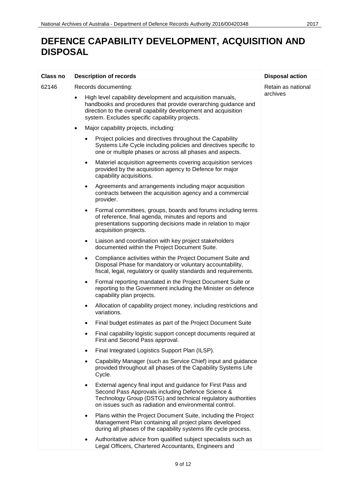| Class no | <b>Description of records</b>                                                                                                                                                                                                                     | <b>Disposal action</b> |
|----------|---------------------------------------------------------------------------------------------------------------------------------------------------------------------------------------------------------------------------------------------------|------------------------|
| 62146    | Records documenting:                                                                                                                                                                                                                              | Retain as national     |
|          | High level capability development and acquisition manuals,<br>handbooks and procedures that provide overarching guidance and<br>direction to the overall capability development and acquisition<br>system. Excludes specific capability projects. | archives               |
|          | Major capability projects, including:<br>$\bullet$                                                                                                                                                                                                |                        |
|          | Project policies and directives throughout the Capability<br>Systems Life Cycle including policies and directives specific to<br>one or multiple phases or across all phases and aspects.                                                         |                        |
|          | Materiel acquisition agreements covering acquisition services<br>$\bullet$<br>provided by the acquisition agency to Defence for major<br>capability acquisitions.                                                                                 |                        |
|          | Agreements and arrangements including major acquisition<br>٠<br>contracts between the acquisition agency and a commercial<br>provider.                                                                                                            |                        |
|          | Formal committees, groups, boards and forums including terms<br>of reference, final agenda, minutes and reports and<br>presentations supporting decisions made in relation to major<br>acquisition projects.                                      |                        |
|          | Liaison and coordination with key project stakeholders<br>٠<br>documented within the Project Document Suite.                                                                                                                                      |                        |
|          | Compliance activities within the Project Document Suite and<br>Disposal Phase for mandatory or voluntary accountability,<br>fiscal, legal, regulatory or quality standards and requirements.                                                      |                        |
|          | Formal reporting mandated in the Project Document Suite or<br>٠<br>reporting to the Government including the Minister on defence<br>capability plan projects.                                                                                     |                        |
|          | Allocation of capability project money, including restrictions and<br>٠<br>variations.                                                                                                                                                            |                        |
|          | Final budget estimates as part of the Project Document Suite                                                                                                                                                                                      |                        |
|          | Final capability logistic support concept documents required at<br>First and Second Pass approval.                                                                                                                                                |                        |
|          | Final Integrated Logistics Support Plan (ILSP).<br>$\bullet$                                                                                                                                                                                      |                        |
|          | Capability Manager (such as Service Chief) input and guidance<br>$\bullet$<br>provided throughout all phases of the Capability Systems Life<br>Cycle.                                                                                             |                        |
|          | External agency final input and guidance for First Pass and<br>Second Pass Approvals including Defence Science &<br>Technology Group (DSTG) and technical regulatory authorities<br>on issues such as radiation and environmental control.        |                        |
|          | Plans within the Project Document Suite, including the Project<br>$\bullet$<br>Management Plan containing all project plans developed<br>during all phases of the capability systems life cycle process.                                          |                        |
|          | Authoritative advice from qualified subject specialists such as<br>Legal Officers, Chartered Accountants, Engineers and                                                                                                                           |                        |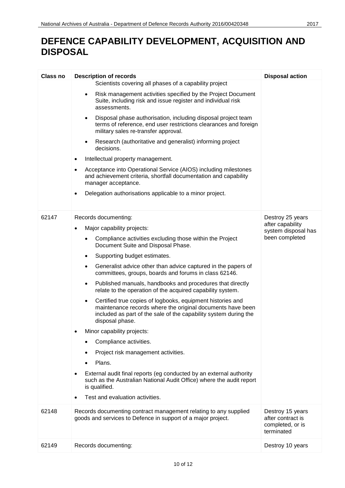| <b>Class no</b> | <b>Description of records</b>                                                                                                                                                                                                | <b>Disposal action</b>                                                  |
|-----------------|------------------------------------------------------------------------------------------------------------------------------------------------------------------------------------------------------------------------------|-------------------------------------------------------------------------|
|                 | Scientists covering all phases of a capability project                                                                                                                                                                       |                                                                         |
|                 | Risk management activities specified by the Project Document<br>$\bullet$<br>Suite, including risk and issue register and individual risk<br>assessments.                                                                    |                                                                         |
|                 | Disposal phase authorisation, including disposal project team<br>$\bullet$<br>terms of reference, end user restrictions clearances and foreign<br>military sales re-transfer approval.                                       |                                                                         |
|                 | Research (authoritative and generalist) informing project<br>$\bullet$<br>decisions.                                                                                                                                         |                                                                         |
|                 | Intellectual property management.                                                                                                                                                                                            |                                                                         |
|                 | Acceptance into Operational Service (AIOS) including milestones<br>and achievement criteria, shortfall documentation and capability<br>manager acceptance.                                                                   |                                                                         |
|                 | Delegation authorisations applicable to a minor project.                                                                                                                                                                     |                                                                         |
| 62147           | Records documenting:                                                                                                                                                                                                         | Destroy 25 years                                                        |
|                 | Major capability projects:                                                                                                                                                                                                   | after capability<br>system disposal has                                 |
|                 | Compliance activities excluding those within the Project<br>$\bullet$<br>Document Suite and Disposal Phase.                                                                                                                  | been completed                                                          |
|                 | Supporting budget estimates.<br>$\bullet$                                                                                                                                                                                    |                                                                         |
|                 | Generalist advice other than advice captured in the papers of<br>$\bullet$<br>committees, groups, boards and forums in class 62146.                                                                                          |                                                                         |
|                 | Published manuals, handbooks and procedures that directly<br>$\bullet$<br>relate to the operation of the acquired capability system.                                                                                         |                                                                         |
|                 | Certified true copies of logbooks, equipment histories and<br>$\bullet$<br>maintenance records where the original documents have been<br>included as part of the sale of the capability system during the<br>disposal phase. |                                                                         |
|                 | Minor capability projects:<br>٠                                                                                                                                                                                              |                                                                         |
|                 | Compliance activities.<br>$\bullet$                                                                                                                                                                                          |                                                                         |
|                 | Project risk management activities.                                                                                                                                                                                          |                                                                         |
|                 | Plans.                                                                                                                                                                                                                       |                                                                         |
|                 | External audit final reports (eg conducted by an external authority<br>$\bullet$<br>such as the Australian National Audit Office) where the audit report<br>is qualified.                                                    |                                                                         |
|                 | Test and evaluation activities.                                                                                                                                                                                              |                                                                         |
| 62148           | Records documenting contract management relating to any supplied<br>goods and services to Defence in support of a major project.                                                                                             | Destroy 15 years<br>after contract is<br>completed, or is<br>terminated |
| 62149           | Records documenting:                                                                                                                                                                                                         | Destroy 10 years                                                        |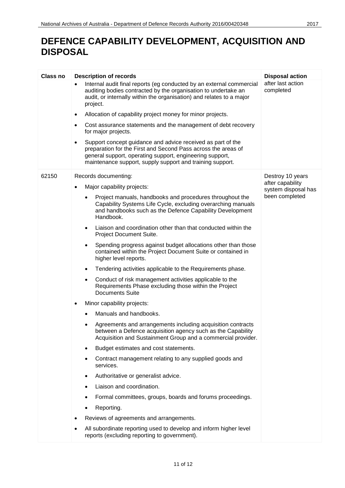| Class no | <b>Description of records</b>                                                                                                                                                                                                                         | <b>Disposal action</b>                  |
|----------|-------------------------------------------------------------------------------------------------------------------------------------------------------------------------------------------------------------------------------------------------------|-----------------------------------------|
|          | Internal audit final reports (eg conducted by an external commercial<br>$\bullet$<br>auditing bodies contracted by the organisation to undertake an<br>audit, or internally within the organisation) and relates to a major<br>project.               | after last action<br>completed          |
|          | Allocation of capability project money for minor projects.<br>$\bullet$                                                                                                                                                                               |                                         |
|          | Cost assurance statements and the management of debt recovery<br>$\bullet$<br>for major projects.                                                                                                                                                     |                                         |
|          | Support concept guidance and advice received as part of the<br>preparation for the First and Second Pass across the areas of<br>general support, operating support, engineering support,<br>maintenance support, supply support and training support. |                                         |
| 62150    | Records documenting:                                                                                                                                                                                                                                  | Destroy 10 years                        |
|          | Major capability projects:                                                                                                                                                                                                                            | after capability<br>system disposal has |
|          | Project manuals, handbooks and procedures throughout the<br>Capability Systems Life Cycle, excluding overarching manuals<br>and handbooks such as the Defence Capability Development<br>Handbook.                                                     | been completed                          |
|          | Liaison and coordination other than that conducted within the<br>$\bullet$<br>Project Document Suite.                                                                                                                                                 |                                         |
|          | Spending progress against budget allocations other than those<br>$\bullet$<br>contained within the Project Document Suite or contained in<br>higher level reports.                                                                                    |                                         |
|          | Tendering activities applicable to the Requirements phase.<br>$\bullet$                                                                                                                                                                               |                                         |
|          | Conduct of risk management activities applicable to the<br>٠<br>Requirements Phase excluding those within the Project<br><b>Documents Suite</b>                                                                                                       |                                         |
|          | Minor capability projects:                                                                                                                                                                                                                            |                                         |
|          | Manuals and handbooks.                                                                                                                                                                                                                                |                                         |
|          | Agreements and arrangements including acquisition contracts<br>$\bullet$<br>between a Defence acquisition agency such as the Capability<br>Acquisition and Sustainment Group and a commercial provider.                                               |                                         |
|          | Budget estimates and cost statements.<br>$\bullet$                                                                                                                                                                                                    |                                         |
|          | Contract management relating to any supplied goods and<br>٠<br>services.                                                                                                                                                                              |                                         |
|          | Authoritative or generalist advice.<br>$\bullet$                                                                                                                                                                                                      |                                         |
|          | Liaison and coordination.                                                                                                                                                                                                                             |                                         |
|          | Formal committees, groups, boards and forums proceedings.                                                                                                                                                                                             |                                         |
|          | Reporting.<br>٠                                                                                                                                                                                                                                       |                                         |
|          | Reviews of agreements and arrangements.                                                                                                                                                                                                               |                                         |
|          | All subordinate reporting used to develop and inform higher level<br>reports (excluding reporting to government).                                                                                                                                     |                                         |